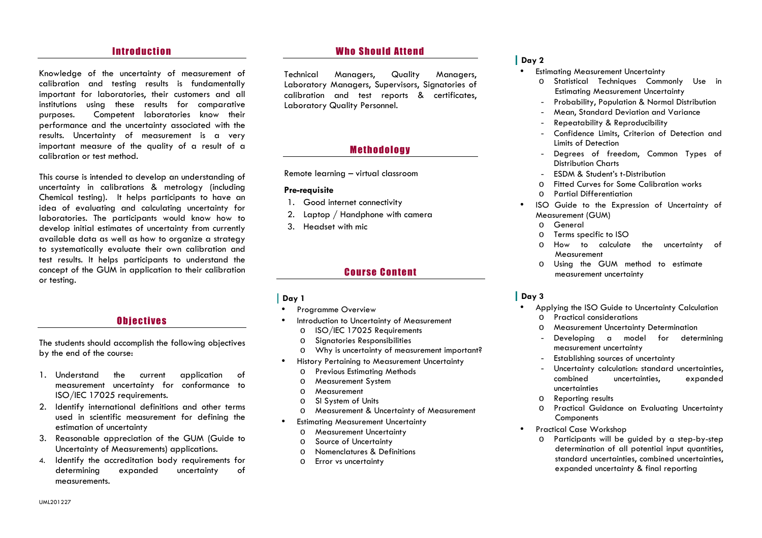### **Introduction**

Knowledge of the uncertainty of measurement of calibration and testing results is fundamentally important for laboratories, their customers and allinstitutions using these results for comparative purposes. Competent laboratories know their performance and the uncertainty associated with the results. Uncertainty of measurement is a very important measure of the quality of a result of a calibration or test method.

This course is intended to develop an understanding of uncertainty in calibrations & metrology (including Chemical testing). It helps participants to have an idea of evaluating and calculating uncertainty for laboratories. The participants would know how to develop initial estimates of uncertainty from currently available data as well as how to organize a strategy to systematically evaluate their own calibration and test results. It helps participants to understand the concept of the GUM in application to their calibration or testing.

# **Objectives**

The students should accomplish the following objectives by the end of the course:

- 1. Understand the current application of measurement uncertainty for conformance to ISO/IEC 17025 requirements.
- 2. Identify international definitions and other terms used in scientific measurement for defining the estimation of uncertainty
- 3. Reasonable appreciation of the GUM (Guide to Uncertainty of Measurements) applications.
- 4. Identify the accreditation body requirements for determining expanded uncertainty of measurements.

# **Who Should Attend**

Technical Managers, Quality Managers, Laboratory Managers, Supervisors, Signatories of calibration and test reports & certificates, Laboratory Quality Personnel.

# **Methodology**

Remote learning – virtual classroom

#### **Pre-requisite**

- 1. Good internet connectivity
- 2. Laptop / Handphone with camera
- 3. Headset with mic

# **Course Content**

#### **Day 1**

- **•** Programme Overview •
- • Introduction to Uncertainty of Measurement
	- oISO/IEC 17025 Requirements
	- oSignatories Responsibilities
	- oWhy is uncertainty of measurement important?
- • History Pertaining to Measurement Uncertainty
	- oPrevious Estimating Methods
	- oMeasurement System
	- oMeasurement
	- oSI System of Units
	- oMeasurement & Uncertainty of Measurement
- • Estimating Measurement Uncertainty
	- oMeasurement Uncertainty
	- oSource of Uncertainty
	- oNomenclatures & Definitions
	- oError vs uncertainty

#### **Day 2**

- Estimating Measurement Uncertainty •
	- o Statistical Techniques Commonly Use in Estimating Measurement Uncertainty
	- Probability, Population & Normal Distribution
	- Mean, Standard Deviation and Variance
	- Repeatability & Reproducibility
	- - Confidence Limits, Criterion of Detection and Limits of Detection
	- Degrees of freedom, Common Types of -Distribution Charts
	- ESDM & Student's t-Distribution -
	- oFitted Curves for Some Calibration works
	- oPartial Differentiation
- • ISO Guide to the Expression of Uncertainty of Measurement (GUM)
	- oGeneral
	- oTerms specific to ISO
	- o How to calculate the uncertainty of Measurement
	- Using the GUM method to estimate omeasurement uncertainty

#### **Day 3**

- Applying the ISO Guide to Uncertainty Calculation •o Practical considerations
	- oMeasurement Uncertainty Determination
	- Developing a model for determining measurement uncertainty
	- Establishing sources of uncertainty
	- -Uncertainty calculation: standard uncertainties,<br>
	combined uncertainties. expanded uncertainties, expanded uncertainties
	- o Reporting results o
	- o Practical Guidance on Evaluating Uncertainty **Components**
- • Practical Case Workshop
	- o Participants will be guided by a step-by-step determination of all potential input quantities, standard uncertainties, combined uncertainties, expanded uncertainty & final reporting